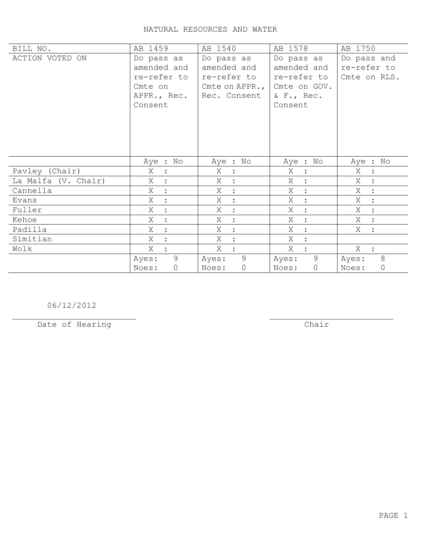| BILL NO.            | AB 1459                   | AB 1540                | AB 1578                 | AB 1750                             |
|---------------------|---------------------------|------------------------|-------------------------|-------------------------------------|
| ACTION VOTED ON     | Do pass as                | Do pass as             | Do pass as              | Do pass and                         |
|                     | amended and               | amended and            | amended and             | re-refer to                         |
|                     | re-refer to               | re-refer to            | re-refer to             | Cmte on RLS.                        |
|                     | Cmte on                   | Cmte on APPR., $\vert$ | Cmte on GOV.            |                                     |
|                     | APPR., Rec.               | Rec. Consent           | $&$ F., Rec.            |                                     |
|                     | Consent                   |                        | Consent                 |                                     |
|                     |                           |                        |                         |                                     |
|                     |                           |                        |                         |                                     |
|                     |                           |                        |                         |                                     |
|                     |                           |                        |                         |                                     |
|                     |                           |                        |                         |                                     |
|                     | Aye : No                  | Aye : No               | Aye : No                | Aye : No                            |
| Pavley (Chair)      | X<br>$\ddot{\phantom{1}}$ | X<br>$\sim$ 1.         | X<br>$\ddot{\cdot}$     | X<br>$\mathbf{L}$                   |
| La Malfa (V. Chair) | X                         | X<br>$\mathbb{R}^2$    | X<br>$\ddot{\cdot}$     | X                                   |
| Cannella            | X<br>$\ddot{\cdot}$       | X<br>$\sim$ 1.         | Χ<br>$\ddot{\cdot}$     | Χ<br>$\ddot{\phantom{1}}$ :         |
| Evans               | X<br>$\ddot{\cdot}$       | $X$ :                  | X<br>$\ddot{\cdot}$     | X :                                 |
| Fuller              | Χ<br>$\ddot{\cdot}$       | $\ddot{\cdot}$<br>X    | Χ<br>$\ddot{\cdot}$     | Χ<br>$\langle \cdot, \cdot \rangle$ |
| Kehoe               | Χ<br>$\bullet$            | $X$ :                  | X<br>$\ddot{\cdot}$     | X :                                 |
| Padilla             | Χ                         | Χ<br>$\ddot{\cdot}$    | Χ<br>$\cdot$            | Χ<br>$\mathbf{r}$                   |
| Simitian            | Χ                         | X<br>$\mathbb{R}^2$    | X                       |                                     |
| Wolk                | X                         | Χ<br>$\sim$ 1.         | X                       | $X$ :                               |
|                     | $\overline{9}$<br>Ayes:   | 9<br>Ayes:             | 9<br>Ayes:              | 8<br>Ayes:                          |
|                     | $\circ$<br>Noes:          | $\circ$<br>Noes:       | $\overline{0}$<br>Noes: | $\mathsf{O}$<br>Noes:               |

06/12/2012

Date of Hearing

 $Char$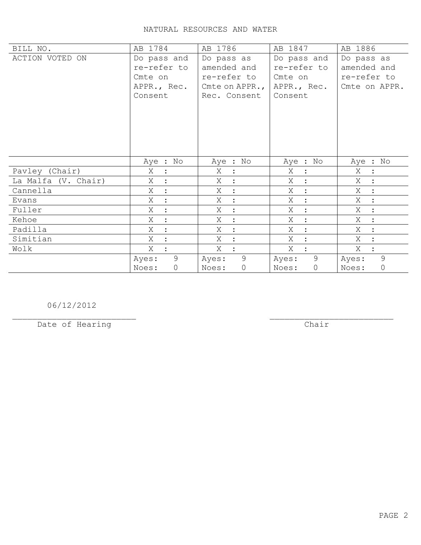| BILL NO.            | AB 1784             | AB 1786                 | AB 1847             | AB 1886                             |
|---------------------|---------------------|-------------------------|---------------------|-------------------------------------|
| ACTION VOTED ON     | Do pass and         | Do pass as              | Do pass and         | Do pass as                          |
|                     | re-refer to         | amended and             | re-refer to         | amended and                         |
|                     | Cmte on             | re-refer to             | Cmte on             | re-refer to                         |
|                     | APPR., Rec.         | Cmte on APPR.,          | APPR., Rec.         | Cmte on APPR.                       |
|                     | Consent             | Rec. Consent            | Consent             |                                     |
|                     |                     |                         |                     |                                     |
|                     |                     |                         |                     |                                     |
|                     |                     |                         |                     |                                     |
|                     |                     |                         |                     |                                     |
|                     |                     |                         |                     |                                     |
|                     | Aye : No            | Aye : No                | Aye : No            | Aye : No                            |
| Pavley (Chair)      | Χ<br>$\mathbb{R}^2$ | X :                     | Χ<br>$\ddot{\cdot}$ | X :                                 |
| La Malfa (V. Chair) | Χ<br>$\ddot{\cdot}$ | X<br>$\cdot$ :          | X<br>$\ddot{\cdot}$ | $X_{-}$<br>$\mathbb{R}^2$           |
| Cannella            | Χ<br>$\ddot{\cdot}$ | Χ<br>$\ddot{\cdot}$     | X<br>$\ddot{\cdot}$ | Χ<br>$\mathbb{R}^2$                 |
| Evans               | X<br>$\mathbb{R}^2$ | Χ<br>$\ddot{\bullet}$   | X<br>$\ddot{\cdot}$ | Χ<br>$\langle \cdot, \cdot \rangle$ |
| Fuller              | X<br>$\ddot{\cdot}$ | Χ<br>$\ddot{\cdot}$     | Χ<br>$\ddot{\cdot}$ | Χ<br>$\mathbb{R}^2$                 |
| Kehoe               | Χ<br>$\cdot$        | X<br>$\ddot{\cdot}$     | Χ<br>$\ddot{\cdot}$ | Χ<br>$\ddot{\phantom{0}}$           |
| Padilla             | Χ<br>$\cdot$        | X<br>$\ddot{\cdot}$     | Χ<br>$\cdot$        | X<br>$\cdot$ :                      |
| Simitian            | X<br>$\ddot{\cdot}$ | X<br>$\ddot{\cdot}$     | Χ<br>$\ddot{\cdot}$ | X                                   |
| Wolk                | X                   | X<br>$\ddot{\cdot}$     | X                   | X                                   |
|                     | 9<br>Ayes:          | $\overline{9}$<br>Ayes: | 9<br>Ayes:          | 9<br>Ayes:                          |
|                     | Noes:<br>$\circ$    | $\circ$<br>Noes:        | $\circ$<br>Noes:    | $\overline{0}$<br>Noes:             |

06/12/2012

Date of Hearing

 $\overline{**chair**}$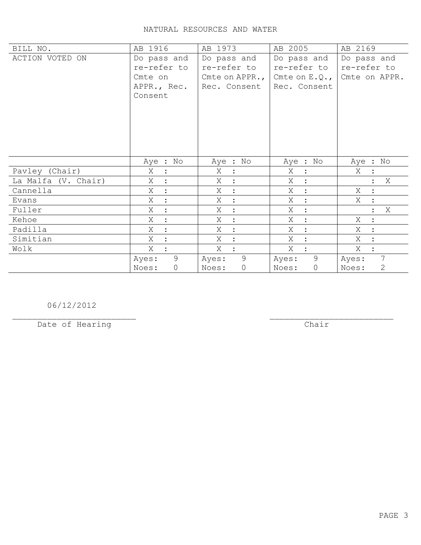| BILL NO.            | AB 1916                   | AB 1973                   | AB 2005                   | AB 2169                   |
|---------------------|---------------------------|---------------------------|---------------------------|---------------------------|
| ACTION VOTED ON     | Do pass and               | Do pass and               | Do pass and               | Do pass and               |
|                     | re-refer to               | re-refer to               | re-refer to               | re-refer to               |
|                     | Cmte on                   | Cmte on APPR., $\vert$    | Cmte on $E. Q.$ ,         | Cmte on APPR.             |
|                     | APPR., Rec.               | Rec. Consent              | Rec. Consent              |                           |
|                     | Consent                   |                           |                           |                           |
|                     |                           |                           |                           |                           |
|                     |                           |                           |                           |                           |
|                     |                           |                           |                           |                           |
|                     |                           |                           |                           |                           |
|                     |                           |                           |                           |                           |
|                     |                           |                           |                           |                           |
|                     | Aye : No                  | Aye : No                  | Aye : No                  | Aye : No                  |
| Pavley (Chair)      | X<br>$\ddot{\phantom{1}}$ | $X$ :                     | X<br>$\ddot{\phantom{0}}$ | X                         |
| La Malfa (V. Chair) | Χ                         | $\mathbb{R}^2$<br>X       | X<br>$\ddot{\cdot}$       | X                         |
| Cannella            | Χ<br>$\cdot$              | Χ<br>$\cdot$ :            | Χ<br>$\mathbf{E}$         | Χ                         |
| Evans               | X                         | $X$ :                     | $X_{-}$<br>$\ddot{\cdot}$ | Χ                         |
| Fuller              | X<br>$\ddot{\cdot}$       | Χ<br>$\ddot{\cdot}$       | X<br>$\ddot{\cdot}$       | Χ<br>$\ddot{\phantom{a}}$ |
| Kehoe               | X                         | $X_{-}$<br>$\ddot{\cdot}$ | X<br>$\ddot{\cdot}$       | X                         |
| Padilla             | Χ                         | X<br>$\ddot{\cdot}$       | Χ<br>$\ddot{\cdot}$       | Χ<br>$\ddot{\cdot}$       |
| Simitian            | Χ                         | X<br>$\mathbf{r}$         | X<br>$\ddot{\cdot}$       | X                         |
| Wolk                | X                         | X                         | X                         | X                         |
|                     | $\overline{9}$<br>Ayes:   | 9<br>Ayes:                | 9<br>Ayes:                | 7<br>Ayes:                |
|                     | $\circ$<br>Noes:          | $\circ$<br>Noes:          | $\overline{0}$<br>Noes:   | 2<br>Noes:                |

06/12/2012

Date of Hearing

 $\overline{**chair**}$